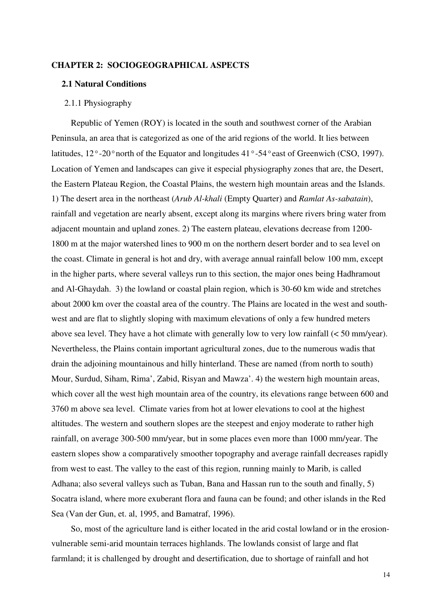#### CHAPTER 2: SOCIOGEOGRAPHICAL ASPECTS

## 2.1 Natural Conditions

#### 2.1.1 Physiography

Republic of Yemen (ROY) is located in the south and southwest corner of the Arabian Peninsula, an area that is categorized as one of the arid regions of the world. It lies between latitudes, 12°-20° north of the Equator and longitudes 41°-54° east of Greenwich (CSO, 1997). Location of Yemen and landscapes can give it especial physiography zones that are, the Desert, the Eastern Plateau Region, the Coastal Plains, the western high mountain areas and the Islands. 1) The desert area in the northeast (Arub Al-khali (Empty Quarter) and Ramlat As-sabatain), rainfall and vegetation are nearly absent, except along its margins where rivers bring water from adjacent mountain and upland zones. 2) The eastern plateau, elevations decrease from 1200- 1800 m at the major watershed lines to 900 m on the northern desert border and to sea level on the coast. Climate in general is hot and dry, with average annual rainfall below 100 mm, except in the higher parts, where several valleys run to this section, the major ones being Hadhramout and Al-Ghaydah. 3) the lowland or coastal plain region, which is 30-60 km wide and stretches about 2000 km over the coastal area of the country. The Plains are located in the west and southwest and are flat to slightly sloping with maximum elevations of only a few hundred meters above sea level. They have a hot climate with generally low to very low rainfall (< 50 mm/year). Nevertheless, the Plains contain important agricultural zones, due to the numerous wadis that drain the adjoining mountainous and hilly hinterland. These are named (from north to south) Mour, Surdud, Siham, Rima', Zabid, Risyan and Mawza'. 4) the western high mountain areas, which cover all the west high mountain area of the country, its elevations range between 600 and 3760 m above sea level. Climate varies from hot at lower elevations to cool at the highest altitudes. The western and southern slopes are the steepest and enjoy moderate to rather high rainfall, on average 300-500 mm/year, but in some places even more than 1000 mm/year. The eastern slopes show a comparatively smoother topography and average rainfall decreases rapidly from west to east. The valley to the east of this region, running mainly to Marib, is called Adhana; also several valleys such as Tuban, Bana and Hassan run to the south and finally, 5) Socatra island, where more exuberant flora and fauna can be found; and other islands in the Red Sea (Van der Gun, et. al, 1995, and Bamatraf, 1996).

So, most of the agriculture land is either located in the arid costal lowland or in the erosionvulnerable semi-arid mountain terraces highlands. The lowlands consist of large and flat farmland; it is challenged by drought and desertification, due to shortage of rainfall and hot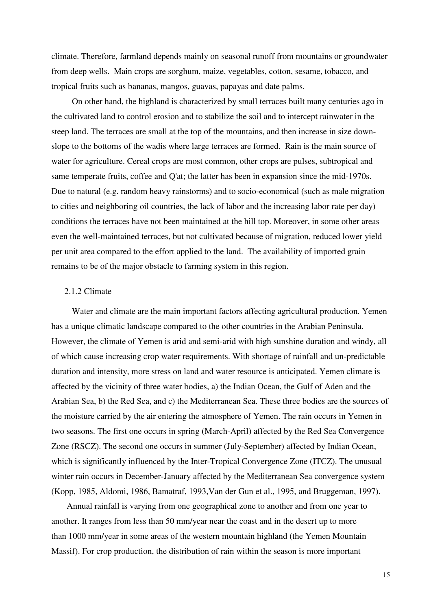climate. Therefore, farmland depends mainly on seasonal runoff from mountains or groundwater from deep wells. Main crops are sorghum, maize, vegetables, cotton, sesame, tobacco, and tropical fruits such as bananas, mangos, guavas, papayas and date palms.

On other hand, the highland is characterized by small terraces built many centuries ago in the cultivated land to control erosion and to stabilize the soil and to intercept rainwater in the steep land. The terraces are small at the top of the mountains, and then increase in size downslope to the bottoms of the wadis where large terraces are formed. Rain is the main source of water for agriculture. Cereal crops are most common, other crops are pulses, subtropical and same temperate fruits, coffee and Q'at; the latter has been in expansion since the mid-1970s. Due to natural (e.g. random heavy rainstorms) and to socio-economical (such as male migration to cities and neighboring oil countries, the lack of labor and the increasing labor rate per day) conditions the terraces have not been maintained at the hill top. Moreover, in some other areas even the well-maintained terraces, but not cultivated because of migration, reduced lower yield per unit area compared to the effort applied to the land. The availability of imported grain remains to be of the major obstacle to farming system in this region.

#### 2.1.2 Climate

Water and climate are the main important factors affecting agricultural production. Yemen has a unique climatic landscape compared to the other countries in the Arabian Peninsula. However, the climate of Yemen is arid and semi-arid with high sunshine duration and windy, all of which cause increasing crop water requirements. With shortage of rainfall and un-predictable duration and intensity, more stress on land and water resource is anticipated. Yemen climate is affected by the vicinity of three water bodies, a) the Indian Ocean, the Gulf of Aden and the Arabian Sea, b) the Red Sea, and c) the Mediterranean Sea. These three bodies are the sources of the moisture carried by the air entering the atmosphere of Yemen. The rain occurs in Yemen in two seasons. The first one occurs in spring (March-April) affected by the Red Sea Convergence Zone (RSCZ). The second one occurs in summer (July-September) affected by Indian Ocean, which is significantly influenced by the Inter-Tropical Convergence Zone (ITCZ). The unusual winter rain occurs in December-January affected by the Mediterranean Sea convergence system (Kopp, 1985, Aldomi, 1986, Bamatraf, 1993,Van der Gun et al., 1995, and Bruggeman, 1997).

Annual rainfall is varying from one geographical zone to another and from one year to another. It ranges from less than 50 mm/year near the coast and in the desert up to more than 1000 mm/year in some areas of the western mountain highland (the Yemen Mountain Massif). For crop production, the distribution of rain within the season is more important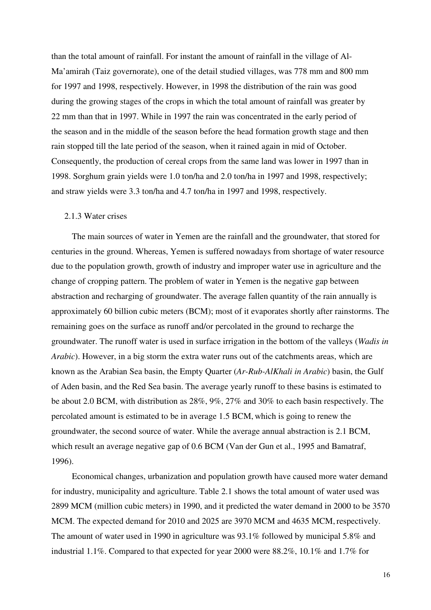than the total amount of rainfall. For instant the amount of rainfall in the village of Al-Ma'amirah (Taiz governorate), one of the detail studied villages, was 778 mm and 800 mm for 1997 and 1998, respectively. However, in 1998 the distribution of the rain was good during the growing stages of the crops in which the total amount of rainfall was greater by 22 mm than that in 1997. While in 1997 the rain was concentrated in the early period of the season and in the middle of the season before the head formation growth stage and then rain stopped till the late period of the season, when it rained again in mid of October. Consequently, the production of cereal crops from the same land was lower in 1997 than in 1998. Sorghum grain yields were 1.0 ton/ha and 2.0 ton/ha in 1997 and 1998, respectively; and straw yields were 3.3 ton/ha and 4.7 ton/ha in 1997 and 1998, respectively.

#### 2.1.3 Water crises

The main sources of water in Yemen are the rainfall and the groundwater, that stored for centuries in the ground. Whereas, Yemen is suffered nowadays from shortage of water resource due to the population growth, growth of industry and improper water use in agriculture and the change of cropping pattern. The problem of water in Yemen is the negative gap between abstraction and recharging of groundwater. The average fallen quantity of the rain annually is approximately 60 billion cubic meters (BCM); most of it evaporates shortly after rainstorms. The remaining goes on the surface as runoff and/or percolated in the ground to recharge the groundwater. The runoff water is used in surface irrigation in the bottom of the valleys (Wadis in Arabic). However, in a big storm the extra water runs out of the catchments areas, which are known as the Arabian Sea basin, the Empty Quarter (Ar-Rub-AlKhali in Arabic) basin, the Gulf of Aden basin, and the Red Sea basin. The average yearly runoff to these basins is estimated to be about 2.0 BCM, with distribution as 28%, 9%, 27% and 30% to each basin respectively. The percolated amount is estimated to be in average 1.5 BCM, which is going to renew the groundwater, the second source of water. While the average annual abstraction is 2.1 BCM, which result an average negative gap of 0.6 BCM (Van der Gun et al., 1995 and Bamatraf, 1996).

Economical changes, urbanization and population growth have caused more water demand for industry, municipality and agriculture. Table 2.1 shows the total amount of water used was 2899 MCM (million cubic meters) in 1990, and it predicted the water demand in 2000 to be 3570 MCM. The expected demand for 2010 and 2025 are 3970 MCM and 4635 MCM, respectively. The amount of water used in 1990 in agriculture was 93.1% followed by municipal 5.8% and industrial 1.1%. Compared to that expected for year 2000 were 88.2%, 10.1% and 1.7% for

16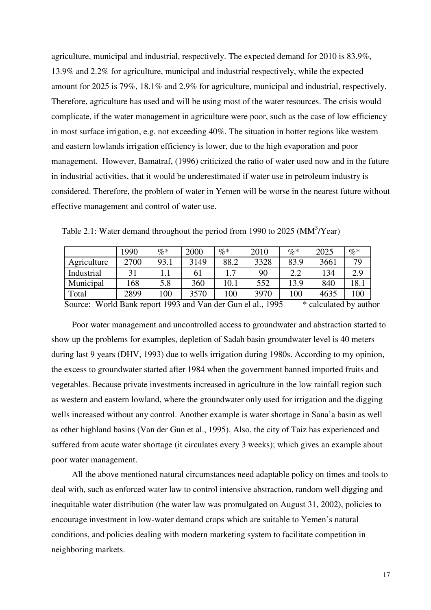agriculture, municipal and industrial, respectively. The expected demand for 2010 is 83.9%, 13.9% and 2.2% for agriculture, municipal and industrial respectively, while the expected amount for 2025 is 79%, 18.1% and 2.9% for agriculture, municipal and industrial, respectively. Therefore, agriculture has used and will be using most of the water resources. The crisis would complicate, if the water management in agriculture were poor, such as the case of low efficiency in most surface irrigation, e.g. not exceeding 40%. The situation in hotter regions like western and eastern lowlands irrigation efficiency is lower, due to the high evaporation and poor management. However, Bamatraf, (1996) criticized the ratio of water used now and in the future in industrial activities, that it would be underestimated if water use in petroleum industry is considered. Therefore, the problem of water in Yemen will be worse in the nearest future without effective management and control of water use.

| 1990 | $\% *$ | 2000 | $\% *$ | 2010 | $\%*$ | 2025 | $\% *$ |
|------|--------|------|--------|------|-------|------|--------|
| 2700 | 93.1   | 3149 | 88.2   | 3328 | 83.9  | 3661 | 79     |
| 31   |        | 61   |        | 90   | 2.2   | 134  | 2.9    |
| 168  | 5.8    | 360  | 10.1   | 552  | 13.9  | 840  | 18.1   |
| 2899 | 100    | 3570 | 100    | 3970 | 100   | 4635 | 100    |
|      |        |      |        |      |       |      |        |

Table 2.1: Water demand throughout the period from 1990 to 2025 ( $MM<sup>3</sup>/Year$ )

Source: World Bank report 1993 and Van der Gun el al., 1995 \* calculated by author

Poor water management and uncontrolled access to groundwater and abstraction started to show up the problems for examples, depletion of Sadah basin groundwater level is 40 meters during last 9 years (DHV, 1993) due to wells irrigation during 1980s. According to my opinion, the excess to groundwater started after 1984 when the government banned imported fruits and vegetables. Because private investments increased in agriculture in the low rainfall region such as western and eastern lowland, where the groundwater only used for irrigation and the digging wells increased without any control. Another example is water shortage in Sana'a basin as well as other highland basins (Van der Gun et al., 1995). Also, the city of Taiz has experienced and suffered from acute water shortage (it circulates every 3 weeks); which gives an example about poor water management.

All the above mentioned natural circumstances need adaptable policy on times and tools to deal with, such as enforced water law to control intensive abstraction, random well digging and inequitable water distribution (the water law was promulgated on August 31, 2002), policies to encourage investment in low-water demand crops which are suitable to Yemen's natural conditions, and policies dealing with modern marketing system to facilitate competition in neighboring markets.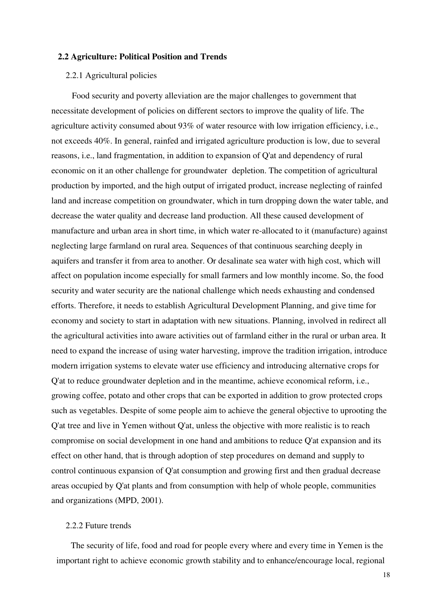#### 2.2 Agriculture: Political Position and Trends

## 2.2.1 Agricultural policies

Food security and poverty alleviation are the major challenges to government that necessitate development of policies on different sectors to improve the quality of life. The agriculture activity consumed about 93% of water resource with low irrigation efficiency, i.e., not exceeds 40%. In general, rainfed and irrigated agriculture production is low, due to several reasons, i.e., land fragmentation, in addition to expansion of Q'at and dependency of rural economic on it an other challenge for groundwater depletion. The competition of agricultural production by imported, and the high output of irrigated product, increase neglecting of rainfed land and increase competition on groundwater, which in turn dropping down the water table, and decrease the water quality and decrease land production. All these caused development of manufacture and urban area in short time, in which water re-allocated to it (manufacture) against neglecting large farmland on rural area. Sequences of that continuous searching deeply in aquifers and transfer it from area to another. Or desalinate sea water with high cost, which will affect on population income especially for small farmers and low monthly income. So, the food security and water security are the national challenge which needs exhausting and condensed efforts. Therefore, it needs to establish Agricultural Development Planning, and give time for economy and society to start in adaptation with new situations. Planning, involved in redirect all the agricultural activities into aware activities out of farmland either in the rural or urban area. It need to expand the increase of using water harvesting, improve the tradition irrigation, introduce modern irrigation systems to elevate water use efficiency and introducing alternative crops for Q'at to reduce groundwater depletion and in the meantime, achieve economical reform, i.e., growing coffee, potato and other crops that can be exported in addition to grow protected crops such as vegetables. Despite of some people aim to achieve the general objective to uprooting the Q'at tree and live in Yemen without Q'at, unless the objective with more realistic is to reach compromise on social development in one hand and ambitions to reduce Q'at expansion and its effect on other hand, that is through adoption of step procedures on demand and supply to control continuous expansion of Q'at consumption and growing first and then gradual decrease areas occupied by Q'at plants and from consumption with help of whole people, communities and organizations (MPD, 2001).

## 2.2.2 Future trends

The security of life, food and road for people every where and every time in Yemen is the important right to achieve economic growth stability and to enhance/encourage local, regional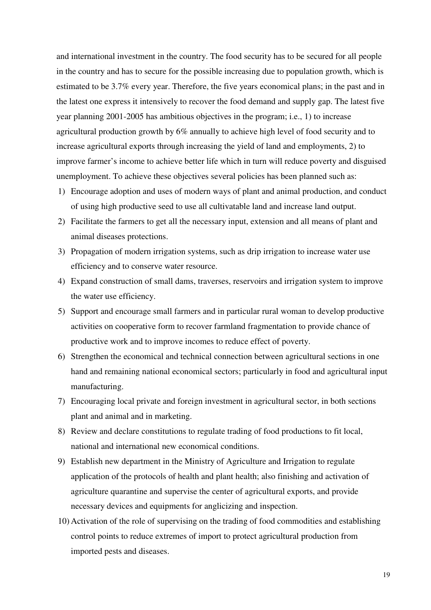and international investment in the country. The food security has to be secured for all people in the country and has to secure for the possible increasing due to population growth, which is estimated to be 3.7% every year. Therefore, the five years economical plans; in the past and in the latest one express it intensively to recover the food demand and supply gap. The latest five year planning 2001-2005 has ambitious objectives in the program; i.e., 1) to increase agricultural production growth by 6% annually to achieve high level of food security and to increase agricultural exports through increasing the yield of land and employments, 2) to improve farmer's income to achieve better life which in turn will reduce poverty and disguised unemployment. To achieve these objectives several policies has been planned such as:

- 1) Encourage adoption and uses of modern ways of plant and animal production, and conduct of using high productive seed to use all cultivatable land and increase land output.
- 2) Facilitate the farmers to get all the necessary input, extension and all means of plant and animal diseases protections.
- 3) Propagation of modern irrigation systems, such as drip irrigation to increase water use efficiency and to conserve water resource.
- 4) Expand construction of small dams, traverses, reservoirs and irrigation system to improve the water use efficiency.
- 5) Support and encourage small farmers and in particular rural woman to develop productive activities on cooperative form to recover farmland fragmentation to provide chance of productive work and to improve incomes to reduce effect of poverty.
- 6) Strengthen the economical and technical connection between agricultural sections in one hand and remaining national economical sectors; particularly in food and agricultural input manufacturing.
- 7) Encouraging local private and foreign investment in agricultural sector, in both sections plant and animal and in marketing.
- 8) Review and declare constitutions to regulate trading of food productions to fit local, national and international new economical conditions.
- 9) Establish new department in the Ministry of Agriculture and Irrigation to regulate application of the protocols of health and plant health; also finishing and activation of agriculture quarantine and supervise the center of agricultural exports, and provide necessary devices and equipments for anglicizing and inspection.
- 10) Activation of the role of supervising on the trading of food commodities and establishing control points to reduce extremes of import to protect agricultural production from imported pests and diseases.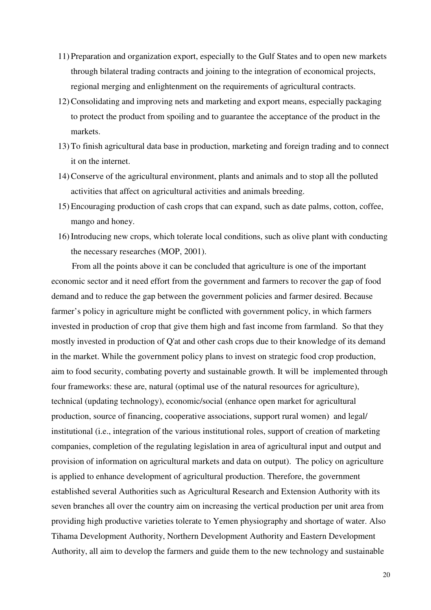- 11) Preparation and organization export, especially to the Gulf States and to open new markets through bilateral trading contracts and joining to the integration of economical projects, regional merging and enlightenment on the requirements of agricultural contracts.
- 12) Consolidating and improving nets and marketing and export means, especially packaging to protect the product from spoiling and to guarantee the acceptance of the product in the markets.
- 13) To finish agricultural data base in production, marketing and foreign trading and to connect it on the internet.
- 14) Conserve of the agricultural environment, plants and animals and to stop all the polluted activities that affect on agricultural activities and animals breeding.
- 15) Encouraging production of cash crops that can expand, such as date palms, cotton, coffee, mango and honey.
- 16) Introducing new crops, which tolerate local conditions, such as olive plant with conducting the necessary researches (MOP, 2001).

From all the points above it can be concluded that agriculture is one of the important economic sector and it need effort from the government and farmers to recover the gap of food demand and to reduce the gap between the government policies and farmer desired. Because farmer's policy in agriculture might be conflicted with government policy, in which farmers invested in production of crop that give them high and fast income from farmland. So that they mostly invested in production of Q'at and other cash crops due to their knowledge of its demand in the market. While the government policy plans to invest on strategic food crop production, aim to food security, combating poverty and sustainable growth. It will be implemented through four frameworks: these are, natural (optimal use of the natural resources for agriculture), technical (updating technology), economic/social (enhance open market for agricultural production, source of financing, cooperative associations, support rural women) and legal/ institutional (i.e., integration of the various institutional roles, support of creation of marketing companies, completion of the regulating legislation in area of agricultural input and output and provision of information on agricultural markets and data on output). The policy on agriculture is applied to enhance development of agricultural production. Therefore, the government established several Authorities such as Agricultural Research and Extension Authority with its seven branches all over the country aim on increasing the vertical production per unit area from providing high productive varieties tolerate to Yemen physiography and shortage of water. Also Tihama Development Authority, Northern Development Authority and Eastern Development Authority, all aim to develop the farmers and guide them to the new technology and sustainable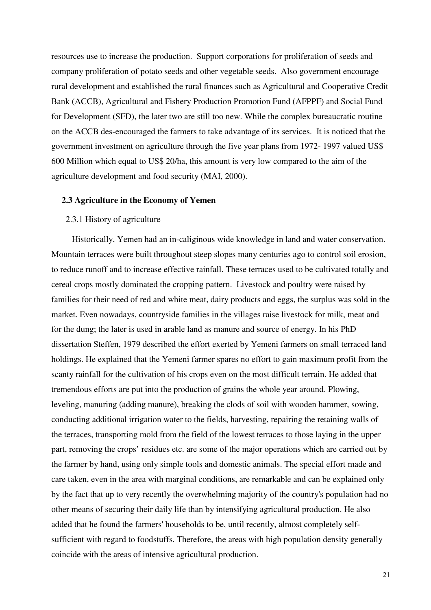resources use to increase the production. Support corporations for proliferation of seeds and company proliferation of potato seeds and other vegetable seeds. Also government encourage rural development and established the rural finances such as Agricultural and Cooperative Credit Bank (ACCB), Agricultural and Fishery Production Promotion Fund (AFPPF) and Social Fund for Development (SFD), the later two are still too new. While the complex bureaucratic routine on the ACCB des-encouraged the farmers to take advantage of its services. It is noticed that the government investment on agriculture through the five year plans from 1972- 1997 valued US\$ 600 Million which equal to US\$ 20/ha, this amount is very low compared to the aim of the agriculture development and food security (MAI, 2000).

#### 2.3 Agriculture in the Economy of Yemen

# 2.3.1 History of agriculture

Historically, Yemen had an in-caliginous wide knowledge in land and water conservation. Mountain terraces were built throughout steep slopes many centuries ago to control soil erosion, to reduce runoff and to increase effective rainfall. These terraces used to be cultivated totally and cereal crops mostly dominated the cropping pattern. Livestock and poultry were raised by families for their need of red and white meat, dairy products and eggs, the surplus was sold in the market. Even nowadays, countryside families in the villages raise livestock for milk, meat and for the dung; the later is used in arable land as manure and source of energy. In his PhD dissertation Steffen, 1979 described the effort exerted by Yemeni farmers on small terraced land holdings. He explained that the Yemeni farmer spares no effort to gain maximum profit from the scanty rainfall for the cultivation of his crops even on the most difficult terrain. He added that tremendous efforts are put into the production of grains the whole year around. Plowing, leveling, manuring (adding manure), breaking the clods of soil with wooden hammer, sowing, conducting additional irrigation water to the fields, harvesting, repairing the retaining walls of the terraces, transporting mold from the field of the lowest terraces to those laying in the upper part, removing the crops' residues etc. are some of the major operations which are carried out by the farmer by hand, using only simple tools and domestic animals. The special effort made and care taken, even in the area with marginal conditions, are remarkable and can be explained only by the fact that up to very recently the overwhelming majority of the country's population had no other means of securing their daily life than by intensifying agricultural production. He also added that he found the farmers' households to be, until recently, almost completely selfsufficient with regard to foodstuffs. Therefore, the areas with high population density generally coincide with the areas of intensive agricultural production.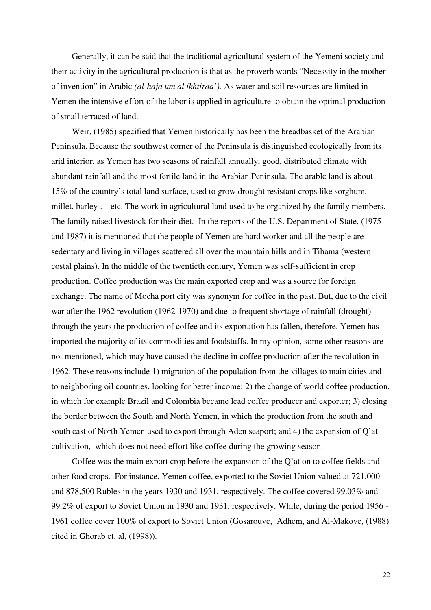Generally, it can be said that the traditional agricultural system of the Yemeni society and their activity in the agricultural production is that as the proverb words "Necessity in the mother of invention" in Arabic (al-haja um al ikhtiraa'). As water and soil resources are limited in Yemen the intensive effort of the labor is applied in agriculture to obtain the optimal production of small terraced of land.

Weir, (1985) specified that Yemen historically has been the breadbasket of the Arabian Peninsula. Because the southwest corner of the Peninsula is distinguished ecologically from its arid interior, as Yemen has two seasons of rainfall annually, good, distributed climate with abundant rainfall and the most fertile land in the Arabian Peninsula. The arable land is about 15% of the country's total land surface, used to grow drought resistant crops like sorghum, millet, barley … etc. The work in agricultural land used to be organized by the family members. The family raised livestock for their diet. In the reports of the U.S. Department of State, (1975 and 1987) it is mentioned that the people of Yemen are hard worker and all the people are sedentary and living in villages scattered all over the mountain hills and in Tihama (western costal plains). In the middle of the twentieth century, Yemen was self-sufficient in crop production. Coffee production was the main exported crop and was a source for foreign exchange. The name of Mocha port city was synonym for coffee in the past. But, due to the civil war after the 1962 revolution (1962-1970) and due to frequent shortage of rainfall (drought) through the years the production of coffee and its exportation has fallen, therefore, Yemen has imported the majority of its commodities and foodstuffs. In my opinion, some other reasons are not mentioned, which may have caused the decline in coffee production after the revolution in 1962. These reasons include 1) migration of the population from the villages to main cities and to neighboring oil countries, looking for better income; 2) the change of world coffee production, in which for example Brazil and Colombia became lead coffee producer and exporter; 3) closing the border between the South and North Yemen, in which the production from the south and south east of North Yemen used to export through Aden seaport; and 4) the expansion of Q'at cultivation, which does not need effort like coffee during the growing season.

Coffee was the main export crop before the expansion of the Q'at on to coffee fields and other food crops. For instance, Yemen coffee, exported to the Soviet Union valued at 721,000 and 878,500 Rubles in the years 1930 and 1931, respectively. The coffee covered 99.03% and 99.2% of export to Soviet Union in 1930 and 1931, respectively. While, during the period 1956 - 1961 coffee cover 100% of export to Soviet Union (Gosarouve, Adhem, and Al-Makove, (1988) cited in Ghorab et. al, (1998)).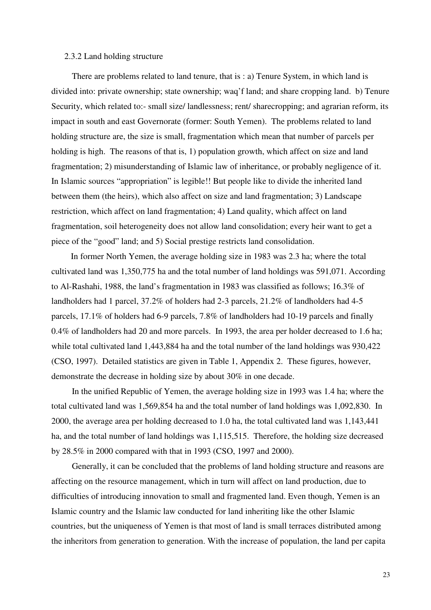#### 2.3.2 Land holding structure

There are problems related to land tenure, that is : a) Tenure System, in which land is divided into: private ownership; state ownership; waq'f land; and share cropping land. b) Tenure Security, which related to:- small size/ landlessness; rent/ sharecropping; and agrarian reform, its impact in south and east Governorate (former: South Yemen). The problems related to land holding structure are, the size is small, fragmentation which mean that number of parcels per holding is high. The reasons of that is, 1) population growth, which affect on size and land fragmentation; 2) misunderstanding of Islamic law of inheritance, or probably negligence of it. In Islamic sources "appropriation" is legible!! But people like to divide the inherited land between them (the heirs), which also affect on size and land fragmentation; 3) Landscape restriction, which affect on land fragmentation; 4) Land quality, which affect on land fragmentation, soil heterogeneity does not allow land consolidation; every heir want to get a piece of the "good" land; and 5) Social prestige restricts land consolidation.

In former North Yemen, the average holding size in 1983 was 2.3 ha; where the total cultivated land was 1,350,775 ha and the total number of land holdings was 591,071. According to Al-Rashahi, 1988, the land's fragmentation in 1983 was classified as follows; 16.3% of landholders had 1 parcel, 37.2% of holders had 2-3 parcels, 21.2% of landholders had 4-5 parcels, 17.1% of holders had 6-9 parcels, 7.8% of landholders had 10-19 parcels and finally 0.4% of landholders had 20 and more parcels. In 1993, the area per holder decreased to 1.6 ha; while total cultivated land 1,443,884 ha and the total number of the land holdings was 930,422 (CSO, 1997). Detailed statistics are given in Table 1, Appendix 2. These figures, however, demonstrate the decrease in holding size by about 30% in one decade.

In the unified Republic of Yemen, the average holding size in 1993 was 1.4 ha; where the total cultivated land was 1,569,854 ha and the total number of land holdings was 1,092,830. In 2000, the average area per holding decreased to 1.0 ha, the total cultivated land was 1,143,441 ha, and the total number of land holdings was 1,115,515. Therefore, the holding size decreased by 28.5% in 2000 compared with that in 1993 (CSO, 1997 and 2000).

Generally, it can be concluded that the problems of land holding structure and reasons are affecting on the resource management, which in turn will affect on land production, due to difficulties of introducing innovation to small and fragmented land. Even though, Yemen is an Islamic country and the Islamic law conducted for land inheriting like the other Islamic countries, but the uniqueness of Yemen is that most of land is small terraces distributed among the inheritors from generation to generation. With the increase of population, the land per capita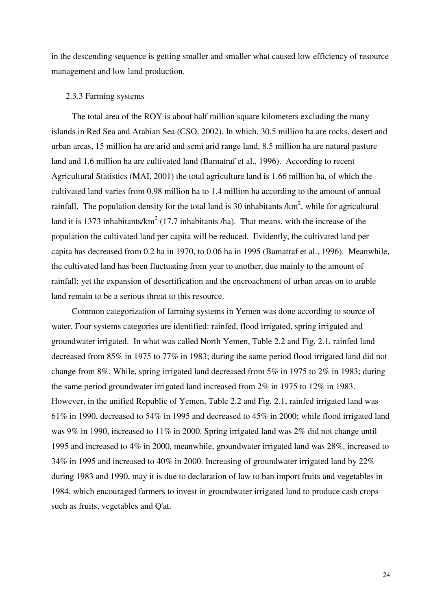in the descending sequence is getting smaller and smaller what caused low efficiency of resource management and low land production.

#### 2.3.3 Farming systems

The total area of the ROY is about half million square kilometers excluding the many islands in Red Sea and Arabian Sea (CSO, 2002). In which, 30.5 million ha are rocks, desert and urban areas, 15 million ha are arid and semi arid range land, 8.5 million ha are natural pasture land and 1.6 million ha are cultivated land (Bamatraf et al., 1996). According to recent Agricultural Statistics (MAI, 2001) the total agriculture land is 1.66 million ha, of which the cultivated land varies from 0.98 million ha to 1.4 million ha according to the amount of annual rainfall. The population density for the total land is 30 inhabitants  $/km<sup>2</sup>$ , while for agricultural land it is 1373 inhabitants/ $km^2$  (17.7 inhabitants /ha). That means, with the increase of the population the cultivated land per capita will be reduced. Evidently, the cultivated land per capita has decreased from 0.2 ha in 1970, to 0.06 ha in 1995 (Bamatraf et al., 1996). Meanwhile, the cultivated land has been fluctuating from year to another, due mainly to the amount of rainfall; yet the expansion of desertification and the encroachment of urban areas on to arable land remain to be a serious threat to this resource.

Common categorization of farming systems in Yemen was done according to source of water. Four systems categories are identified: rainfed, flood irrigated, spring irrigated and groundwater irrigated. In what was called North Yemen, Table 2.2 and Fig. 2.1, rainfed land decreased from 85% in 1975 to 77% in 1983; during the same period flood irrigated land did not change from 8%. While, spring irrigated land decreased from 5% in 1975 to 2% in 1983; during the same period groundwater irrigated land increased from 2% in 1975 to 12% in 1983. However, in the unified Republic of Yemen, Table 2.2 and Fig. 2.1, rainfed irrigated land was 61% in 1990, decreased to 54% in 1995 and decreased to 45% in 2000; while flood irrigated land was 9% in 1990, increased to 11% in 2000. Spring irrigated land was 2% did not change until 1995 and increased to 4% in 2000, meanwhile, groundwater irrigated land was 28%, increased to 34% in 1995 and increased to 40% in 2000. Increasing of groundwater irrigated land by 22% during 1983 and 1990, may it is due to declaration of law to ban import fruits and vegetables in 1984, which encouraged farmers to invest in groundwater irrigated land to produce cash crops such as fruits, vegetables and Q'at.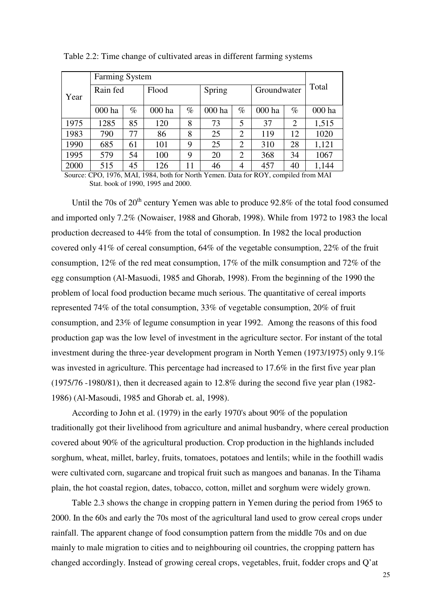|      | <b>Farming System</b> |      |        |      |        |                |             |                |        |
|------|-----------------------|------|--------|------|--------|----------------|-------------|----------------|--------|
| Year | Rain fed              |      | Flood  |      | Spring |                | Groundwater |                | Total  |
|      |                       |      |        |      |        |                |             |                |        |
|      | 000 ha                | $\%$ | 000 ha | $\%$ | 000 ha | $\%$           | 000 ha      | $\%$           | 000 ha |
| 1975 | 1285                  | 85   | 120    | 8    | 73     | 5              | 37          | $\overline{2}$ | 1,515  |
| 1983 | 790                   | 77   | 86     | 8    | 25     | $\overline{2}$ | 119         | 12             | 1020   |
| 1990 | 685                   | 61   | 101    | 9    | 25     | 2              | 310         | 28             | 1,121  |
| 1995 | 579                   | 54   | 100    | 9    | 20     | $\overline{2}$ | 368         | 34             | 1067   |
| 2000 | 515                   | 45   | 126    | 11   | 46     | 4              | 457         | 40             | 1,144  |

Table 2.2: Time change of cultivated areas in different farming systems

 Source: CPO, 1976, MAI, 1984, both for North Yemen. Data for ROY, compiled from MAI Stat. book of 1990, 1995 and 2000.

Until the 70s of  $20^{th}$  century Yemen was able to produce 92.8% of the total food consumed and imported only 7.2% (Nowaiser, 1988 and Ghorab, 1998). While from 1972 to 1983 the local production decreased to 44% from the total of consumption. In 1982 the local production covered only 41% of cereal consumption, 64% of the vegetable consumption, 22% of the fruit consumption, 12% of the red meat consumption, 17% of the milk consumption and 72% of the egg consumption (Al-Masuodi, 1985 and Ghorab, 1998). From the beginning of the 1990 the problem of local food production became much serious. The quantitative of cereal imports represented 74% of the total consumption, 33% of vegetable consumption, 20% of fruit consumption, and 23% of legume consumption in year 1992. Among the reasons of this food production gap was the low level of investment in the agriculture sector. For instant of the total investment during the three-year development program in North Yemen (1973/1975) only 9.1% was invested in agriculture. This percentage had increased to 17.6% in the first five year plan (1975/76 -1980/81), then it decreased again to 12.8% during the second five year plan (1982- 1986) (Al-Masoudi, 1985 and Ghorab et. al, 1998).

According to John et al. (1979) in the early 1970's about 90% of the population traditionally got their livelihood from agriculture and animal husbandry, where cereal production covered about 90% of the agricultural production. Crop production in the highlands included sorghum, wheat, millet, barley, fruits, tomatoes, potatoes and lentils; while in the foothill wadis were cultivated corn, sugarcane and tropical fruit such as mangoes and bananas. In the Tihama plain, the hot coastal region, dates, tobacco, cotton, millet and sorghum were widely grown.

Table 2.3 shows the change in cropping pattern in Yemen during the period from 1965 to 2000. In the 60s and early the 70s most of the agricultural land used to grow cereal crops under rainfall. The apparent change of food consumption pattern from the middle 70s and on due mainly to male migration to cities and to neighbouring oil countries, the cropping pattern has changed accordingly. Instead of growing cereal crops, vegetables, fruit, fodder crops and Q'at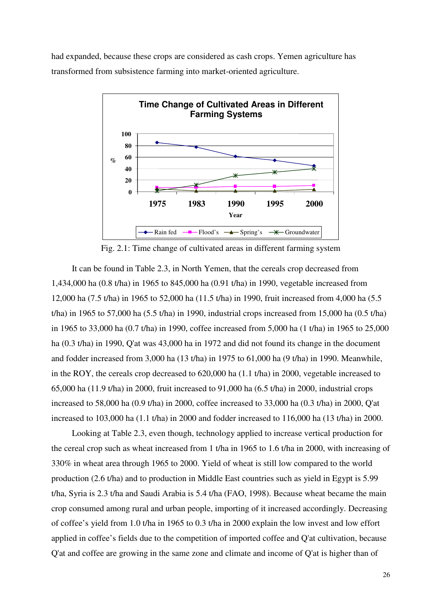had expanded, because these crops are considered as cash crops. Yemen agriculture has transformed from subsistence farming into market-oriented agriculture.



Fig. 2.1: Time change of cultivated areas in different farming system

It can be found in Table 2.3, in North Yemen, that the cereals crop decreased from 1,434,000 ha (0.8 t/ha) in 1965 to 845,000 ha (0.91 t/ha) in 1990, vegetable increased from 12,000 ha (7.5 t/ha) in 1965 to 52,000 ha (11.5 t/ha) in 1990, fruit increased from 4,000 ha (5.5 t/ha) in 1965 to 57,000 ha (5.5 t/ha) in 1990, industrial crops increased from 15,000 ha (0.5 t/ha) in 1965 to 33,000 ha (0.7 t/ha) in 1990, coffee increased from 5,000 ha (1 t/ha) in 1965 to 25,000 ha (0.3 t/ha) in 1990, Q'at was 43,000 ha in 1972 and did not found its change in the document and fodder increased from 3,000 ha (13 t/ha) in 1975 to 61,000 ha (9 t/ha) in 1990. Meanwhile, in the ROY, the cereals crop decreased to 620,000 ha (1.1 t/ha) in 2000, vegetable increased to 65,000 ha (11.9 t/ha) in 2000, fruit increased to 91,000 ha (6.5 t/ha) in 2000, industrial crops increased to 58,000 ha (0.9 t/ha) in 2000, coffee increased to 33,000 ha (0.3 t/ha) in 2000, Q'at increased to 103,000 ha (1.1 t/ha) in 2000 and fodder increased to 116,000 ha (13 t/ha) in 2000.

Looking at Table 2.3, even though, technology applied to increase vertical production for the cereal crop such as wheat increased from 1 t/ha in 1965 to 1.6 t/ha in 2000, with increasing of 330% in wheat area through 1965 to 2000. Yield of wheat is still low compared to the world production (2.6 t/ha) and to production in Middle East countries such as yield in Egypt is 5.99 t/ha, Syria is 2.3 t/ha and Saudi Arabia is 5.4 t/ha (FAO, 1998). Because wheat became the main crop consumed among rural and urban people, importing of it increased accordingly. Decreasing of coffee's yield from 1.0 t/ha in 1965 to 0.3 t/ha in 2000 explain the low invest and low effort applied in coffee's fields due to the competition of imported coffee and Q'at cultivation, because Q'at and coffee are growing in the same zone and climate and income of Q'at is higher than of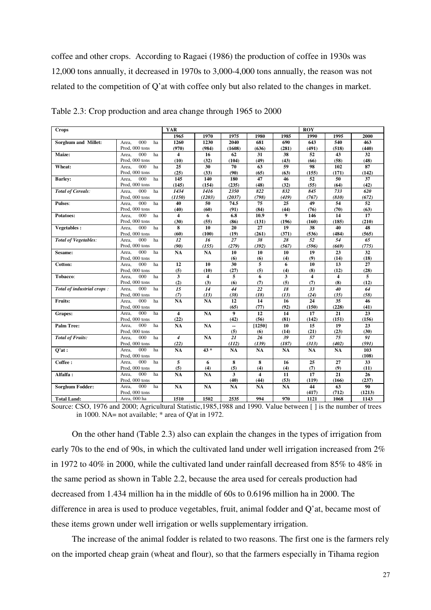coffee and other crops. According to Ragaei (1986) the production of coffee in 1930s was 12,000 tons annually, it decreased in 1970s to 3,000-4,000 tons annually, the reason was not related to the competition of Q'at with coffee only but also related to the changes in market.

| <b>Crops</b>                |                    | YAR                     |                         |                         | <b>ROY</b> |                  |           |                |        |
|-----------------------------|--------------------|-------------------------|-------------------------|-------------------------|------------|------------------|-----------|----------------|--------|
|                             |                    | 1965                    | 1970                    | 1975                    | 1980       | 1985             | 1990      | 1995           | 2000   |
| <b>Sorghum and Millet:</b>  | 000<br>ha<br>Area. | 1260                    | 1230                    | 2040                    | 681        | 690              | 643       | 540            | 463    |
|                             | Prod, 000 tons     | (970)                   | (984)                   | (1608)                  | (636)      | (281)            | (491)     | (518)          | (440)  |
| Maize:                      | 000<br>ha<br>Area. | 4                       | 16                      | 62                      | 31         | 38               | 52        | 43             | 32     |
|                             | Prod, 000 tons     | (10)                    | (32)                    | (104)                   | (49)       | (43)             | (66)      | (58)           | (48)   |
| Wheat:                      | 000<br>Area,<br>ha | 25                      | 30                      | 70                      | 63         | 59               | 98        | 102            | 87     |
|                             | Prod, 000 tons     | (25)                    | (33)                    | (90)                    | (65)       | (63)             | (155)     | (171)          | (142)  |
| <b>Barley:</b>              | 000<br>Area.<br>ha | 145                     | 140                     | 180                     | 47         | 46               | 52        | 50             | 37     |
|                             | Prod, 000 tons     | (145)                   | (154)                   | (235)                   | (48)       | (32)             | (55)      | (64)           | (42)   |
| <b>Total of Cereals:</b>    | 000<br>ha<br>Area, | 1434                    | 1416                    | 2350                    | 822        | 832              | 845       | 733            | 620    |
|                             | Prod, 000 tons     | (1150)                  | (1203)                  | (2037)                  | (798)      | (419)            | (767)     | (810)          | (672)  |
| Pulses:                     | 000<br>ha<br>Area. | 40                      | 50                      | 74.5                    | 75         | 25               | 49        | 54             | 52     |
|                             | Prod, 000 tons     | (40)                    | (60)                    | (91)                    | (84)       | (44)             | (76)      | (70)           | (63)   |
| <b>Potatoes:</b>            | 000<br>ha<br>Area, | $\overline{\mathbf{4}}$ | 6                       | 6.8                     | 10.9       | $\boldsymbol{9}$ | 146       | 14             | 17     |
|                             | Prod, 000 tons     | (30)                    | (55)                    | (86)                    | (131)      | (196)            | (160)     | (185)          | (210)  |
| <b>Vegetables:</b>          | 000<br>ha<br>Area, | 8                       | 10                      | 20                      | 27         | 19               | 38        | 40             | 48     |
|                             | Prod, 000 tons     | (60)                    | (100)                   | (19)                    | (261)      | (371)            | (536)     | (484)          | (565)  |
| <b>Total of Vegetables:</b> | 000<br>Area,<br>ha | 12                      | 16                      | 27                      | 38         | 28               | 52        | 54             | 65     |
|                             | Prod, 000 tons     | (90)                    | (155)                   | (279)                   | (392)      | (567)            | (596)     | (669)          | (775)  |
| Sesame:                     | 000<br>Area.<br>ha | <b>NA</b>               | NA                      | 10                      | 10         | 10               | 19        | 23             | 32     |
|                             | Prod, 000 tons     |                         |                         | (6)                     | (6)        | (4)              | (9)       | (14)           | (18)   |
| Cotton:                     | 000<br>ha<br>Area, | 12                      | 10                      | 30                      | 5          | 6                | 10        | 13             | 27     |
|                             | Prod, 000 tons     | (5)                     | (10)                    | (27)                    | (5)        | (4)              | (8)       | (12)           | (28)   |
| Tobacco:                    | 000<br>ha<br>Area. | 3                       | $\overline{\mathbf{4}}$ | 5                       | 6          | 3                | 4         | $\overline{4}$ | 5      |
|                             | Prod, 000 tons     | (2)                     | (3)                     | (6)                     | (7)        | (5)              | (7)       | (8)            | (12)   |
| Total of industrial crops:  | 000<br>Area,<br>ha | 15                      | 14                      | 44                      | 22         | 18               | 33        | 40             | 64     |
|                             | Prod, 000 tons     | (7)                     | (13)                    | (38)                    | (18)       | (13)             | (24)      | (35)           | (58)   |
| Fruits:                     | 000<br>ha<br>Area, | NA                      | NA                      | 12                      | 14         | 16               | 24        | 35             | 46     |
|                             | Prod, 000 tons     |                         |                         | (65)                    | (77)       | (92)             | (150)     | (228)          | (41)   |
| Grapes:                     | 000<br>ha<br>Area, | $\overline{\mathbf{4}}$ | NA                      | 9                       | 12         | 14               | 17        | 21             | 23     |
|                             | Prod, 000 tons     | (22)                    |                         | (42)                    | (56)       | (81)             | (142)     | (151)          | (156)  |
| <b>Palm Tree:</b>           | 000<br>ha<br>Area. | <b>NA</b>               | NA                      | ┄                       | [1250]     | 10               | 15        | 19             | 23     |
|                             | Prod, 000 tons     |                         |                         | (5)                     | (6)        | (14)             | (21)      | (23)           | (30)   |
| <b>Total of Fruits:</b>     | 000<br>ha<br>Area. | $\overline{\mathbf{4}}$ | NA                      | 21                      | 26         | 39               | 57        | 75             | 91     |
|                             | Prod, 000 tons     | (22)                    |                         | (112)                   | (139)      | (187)            | (313)     | (402)          | (591)  |
| $Q'at$ :                    | 000<br>ha<br>Area. | <b>NA</b>               | $43*$                   | <b>NA</b>               | <b>NA</b>  | <b>NA</b>        | <b>NA</b> | <b>NA</b>      | 103    |
|                             | Prod, 000 tons     |                         |                         |                         |            |                  |           |                | (108)  |
| Coffee:                     | 000<br>Area.<br>ha | 5                       | 6                       | 8                       | 8          | 16               | 25        | 27             | 33     |
|                             | Prod, 000 tons     | (5)                     | (4)                     | (5)                     | (4)        | (4)              | (7)       | (9)            | (11)   |
| Alfalfa:                    | 000<br>Area,<br>ha | NA                      | NA                      | $\overline{\mathbf{3}}$ | 4          | 11               | 17        | 21             | 26     |
|                             | Prod, 000 tons     |                         |                         | (40)                    | (44)       | (53)             | (119)     | (166)          | (237)  |
| <b>Sorghum Fodder:</b>      | 000<br>ha<br>Area, | NA                      | NA                      | <b>NA</b>               | <b>NA</b>  | <b>NA</b>        | 44        | 63             | 90     |
|                             | Prod, 000 tons     |                         |                         |                         |            |                  | (417)     | (712)          | (1213) |
| <b>Total Land:</b>          | Area, 000 ha       | 1510                    | 1502                    | 2535                    | 994        | 970              | 1121      | 1068           | 1143   |

Table 2.3: Crop production and area change through 1965 to 2000

Source: CSO, 1976 and 2000; Agricultural Statistic,1985,1988 and 1990. Value between [ ] is the number of trees in 1000. NA= not available; \* area of Q'at in 1972.

On the other hand (Table 2.3) also can explain the changes in the types of irrigation from early 70s to the end of 90s, in which the cultivated land under well irrigation increased from 2% in 1972 to 40% in 2000, while the cultivated land under rainfall decreased from 85% to 48% in the same period as shown in Table 2.2, because the area used for cereals production had decreased from 1.434 million ha in the middle of 60s to 0.6196 million ha in 2000. The difference in area is used to produce vegetables, fruit, animal fodder and Q'at, became most of these items grown under well irrigation or wells supplementary irrigation.

The increase of the animal fodder is related to two reasons. The first one is the farmers rely on the imported cheap grain (wheat and flour), so that the farmers especially in Tihama region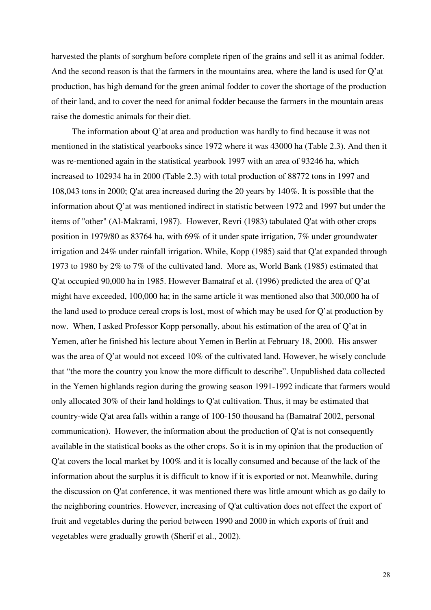harvested the plants of sorghum before complete ripen of the grains and sell it as animal fodder. And the second reason is that the farmers in the mountains area, where the land is used for Q'at production, has high demand for the green animal fodder to cover the shortage of the production of their land, and to cover the need for animal fodder because the farmers in the mountain areas raise the domestic animals for their diet.

The information about Q'at area and production was hardly to find because it was not mentioned in the statistical yearbooks since 1972 where it was 43000 ha (Table 2.3). And then it was re-mentioned again in the statistical yearbook 1997 with an area of 93246 ha, which increased to 102934 ha in 2000 (Table 2.3) with total production of 88772 tons in 1997 and 108,043 tons in 2000; Q'at area increased during the 20 years by 140%. It is possible that the information about Q'at was mentioned indirect in statistic between 1972 and 1997 but under the items of "other" (Al-Makrami, 1987). However, Revri (1983) tabulated Q'at with other crops position in 1979/80 as 83764 ha, with 69% of it under spate irrigation, 7% under groundwater irrigation and 24% under rainfall irrigation. While, Kopp (1985) said that Q'at expanded through 1973 to 1980 by 2% to 7% of the cultivated land. More as, World Bank (1985) estimated that Q'at occupied 90,000 ha in 1985. However Bamatraf et al. (1996) predicted the area of Q'at might have exceeded, 100,000 ha; in the same article it was mentioned also that 300,000 ha of the land used to produce cereal crops is lost, most of which may be used for Q'at production by now. When, I asked Professor Kopp personally, about his estimation of the area of Q'at in Yemen, after he finished his lecture about Yemen in Berlin at February 18, 2000. His answer was the area of Q'at would not exceed 10% of the cultivated land. However, he wisely conclude that "the more the country you know the more difficult to describe". Unpublished data collected in the Yemen highlands region during the growing season 1991-1992 indicate that farmers would only allocated 30% of their land holdings to Q'at cultivation. Thus, it may be estimated that country-wide Q'at area falls within a range of 100-150 thousand ha (Bamatraf 2002, personal communication). However, the information about the production of Q'at is not consequently available in the statistical books as the other crops. So it is in my opinion that the production of Q'at covers the local market by 100% and it is locally consumed and because of the lack of the information about the surplus it is difficult to know if it is exported or not. Meanwhile, during the discussion on Q'at conference, it was mentioned there was little amount which as go daily to the neighboring countries. However, increasing of Q'at cultivation does not effect the export of fruit and vegetables during the period between 1990 and 2000 in which exports of fruit and vegetables were gradually growth (Sherif et al., 2002).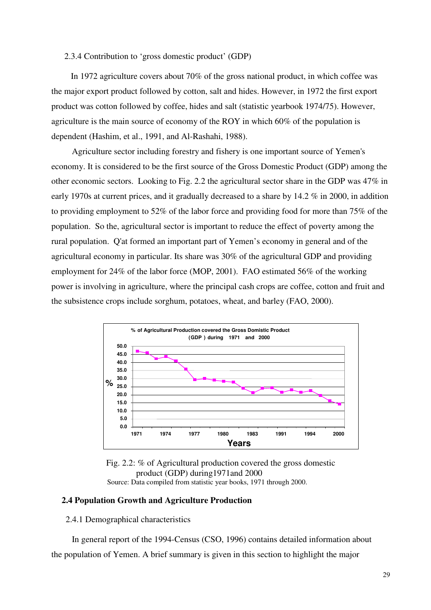#### 2.3.4 Contribution to 'gross domestic product' (GDP)

In 1972 agriculture covers about 70% of the gross national product, in which coffee was the major export product followed by cotton, salt and hides. However, in 1972 the first export product was cotton followed by coffee, hides and salt (statistic yearbook 1974/75). However, agriculture is the main source of economy of the ROY in which 60% of the population is dependent (Hashim, et al., 1991, and Al-Rashahi, 1988).

Agriculture sector including forestry and fishery is one important source of Yemen's economy. It is considered to be the first source of the Gross Domestic Product (GDP) among the other economic sectors. Looking to Fig. 2.2 the agricultural sector share in the GDP was 47% in early 1970s at current prices, and it gradually decreased to a share by 14.2 % in 2000, in addition to providing employment to 52% of the labor force and providing food for more than 75% of the population. So the, agricultural sector is important to reduce the effect of poverty among the rural population. Q'at formed an important part of Yemen's economy in general and of the agricultural economy in particular. Its share was 30% of the agricultural GDP and providing employment for 24% of the labor force (MOP, 2001). FAO estimated 56% of the working power is involving in agriculture, where the principal cash crops are coffee, cotton and fruit and the subsistence crops include sorghum, potatoes, wheat, and barley (FAO, 2000).



Fig. 2.2: % of Agricultural production covered the gross domestic product (GDP) during1971and 2000 Source: Data compiled from statistic year books, 1971 through 2000.

## 2.4 Population Growth and Agriculture Production

#### 2.4.1 Demographical characteristics

In general report of the 1994-Census (CSO, 1996) contains detailed information about the population of Yemen. A brief summary is given in this section to highlight the major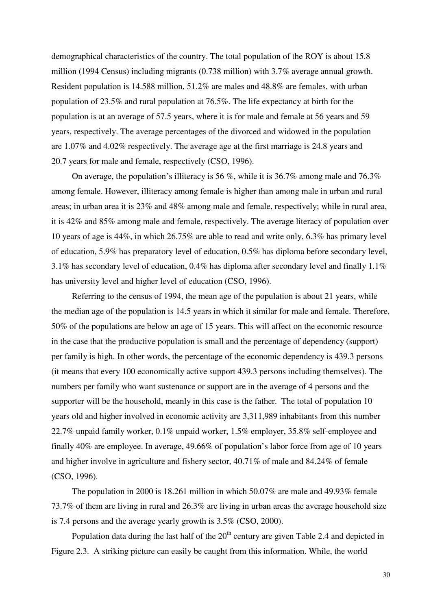demographical characteristics of the country. The total population of the ROY is about 15.8 million (1994 Census) including migrants (0.738 million) with 3.7% average annual growth. Resident population is 14.588 million, 51.2% are males and 48.8% are females, with urban population of 23.5% and rural population at 76.5%. The life expectancy at birth for the population is at an average of 57.5 years, where it is for male and female at 56 years and 59 years, respectively. The average percentages of the divorced and widowed in the population are 1.07% and 4.02% respectively. The average age at the first marriage is 24.8 years and 20.7 years for male and female, respectively (CSO, 1996).

On average, the population's illiteracy is 56 %, while it is 36.7% among male and 76.3% among female. However, illiteracy among female is higher than among male in urban and rural areas; in urban area it is 23% and 48% among male and female, respectively; while in rural area, it is 42% and 85% among male and female, respectively. The average literacy of population over 10 years of age is 44%, in which 26.75% are able to read and write only, 6.3% has primary level of education, 5.9% has preparatory level of education, 0.5% has diploma before secondary level, 3.1% has secondary level of education, 0.4% has diploma after secondary level and finally 1.1% has university level and higher level of education (CSO, 1996).

Referring to the census of 1994, the mean age of the population is about 21 years, while the median age of the population is 14.5 years in which it similar for male and female. Therefore, 50% of the populations are below an age of 15 years. This will affect on the economic resource in the case that the productive population is small and the percentage of dependency (support) per family is high. In other words, the percentage of the economic dependency is 439.3 persons (it means that every 100 economically active support 439.3 persons including themselves). The numbers per family who want sustenance or support are in the average of 4 persons and the supporter will be the household, meanly in this case is the father. The total of population 10 years old and higher involved in economic activity are 3,311,989 inhabitants from this number 22.7% unpaid family worker, 0.1% unpaid worker, 1.5% employer, 35.8% self-employee and finally 40% are employee. In average, 49.66% of population's labor force from age of 10 years and higher involve in agriculture and fishery sector, 40.71% of male and 84.24% of female (CSO, 1996).

The population in 2000 is 18.261 million in which 50.07% are male and 49.93% female 73.7% of them are living in rural and 26.3% are living in urban areas the average household size is 7.4 persons and the average yearly growth is 3.5% (CSO, 2000).

Population data during the last half of the  $20<sup>th</sup>$  century are given Table 2.4 and depicted in Figure 2.3. A striking picture can easily be caught from this information. While, the world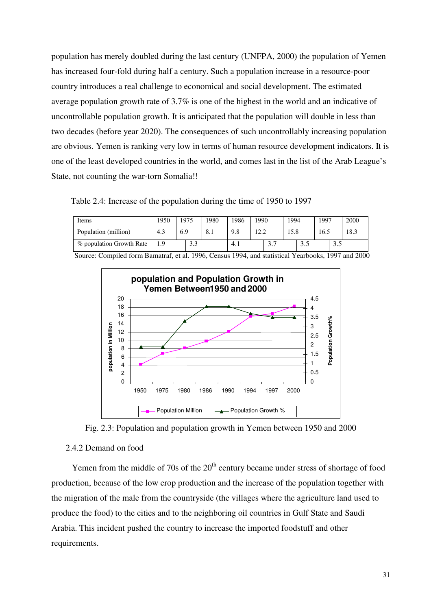population has merely doubled during the last century (UNFPA, 2000) the population of Yemen has increased four-fold during half a century. Such a population increase in a resource-poor country introduces a real challenge to economical and social development. The estimated average population growth rate of 3.7% is one of the highest in the world and an indicative of uncontrollable population growth. It is anticipated that the population will double in less than two decades (before year 2020). The consequences of such uncontrollably increasing population are obvious. Yemen is ranking very low in terms of human resource development indicators. It is one of the least developed countries in the world, and comes last in the list of the Arab League's State, not counting the war-torn Somalia!!

Table 2.4: Increase of the population during the time of 1950 to 1997

| Items                    | 1950 | 975 | 1980 | 1986 | 1990 |       | 1994 |     | 1997 |               | 2000 |
|--------------------------|------|-----|------|------|------|-------|------|-----|------|---------------|------|
| Population (million)     | 4.3  | 6.9 | 8.1  | 9.8  | 12.2 |       | 15.8 |     | 16.5 |               | 18.3 |
| % population Growth Rate | 1.9  | 3.3 |      | 4.1  |      | ر . د |      | J.J |      | $\sim$<br>ن ر |      |





Fig. 2.3: Population and population growth in Yemen between 1950 and 2000

# 2.4.2 Demand on food

Yemen from the middle of 70s of the  $20<sup>th</sup>$  century became under stress of shortage of food production, because of the low crop production and the increase of the population together with the migration of the male from the countryside (the villages where the agriculture land used to produce the food) to the cities and to the neighboring oil countries in Gulf State and Saudi Arabia. This incident pushed the country to increase the imported foodstuff and other requirements.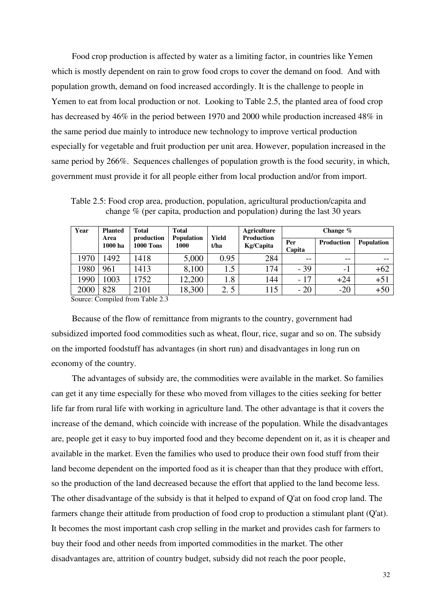Food crop production is affected by water as a limiting factor, in countries like Yemen which is mostly dependent on rain to grow food crops to cover the demand on food. And with population growth, demand on food increased accordingly. It is the challenge to people in Yemen to eat from local production or not. Looking to Table 2.5, the planted area of food crop has decreased by 46% in the period between 1970 and 2000 while production increased 48% in the same period due mainly to introduce new technology to improve vertical production especially for vegetable and fruit production per unit area. However, population increased in the same period by 266%. Sequences challenges of population growth is the food security, in which, government must provide it for all people either from local production and/or from import.

Table 2.5: Food crop area, production, population, agricultural production/capita and change % (per capita, production and population) during the last 30 years

| Year | <b>Planted</b>  | <b>Total</b><br>production | <b>Total</b><br><b>Population</b> | Yield | Agriculture<br><b>Production</b> | Change $%$    |            |                   |  |  |
|------|-----------------|----------------------------|-----------------------------------|-------|----------------------------------|---------------|------------|-------------------|--|--|
|      | Area<br>1000 ha | <b>1000 Tons</b>           | 1000                              | t/ha  | Kg/Capita                        | Per<br>Capita | Production | <b>Population</b> |  |  |
| 1970 | 1492            | 1418                       | 5,000                             | 0.95  | 284                              | $- -$         | $- -$      | --                |  |  |
| 1980 | 961             | 1413                       | 8,100                             | 1.5   | 174                              | $-39$         | $-1$       | $+62$             |  |  |
| 1990 | 1003            | 1752                       | 12,200                            | 1.8   | 144                              | $-17$         | $+24$      | $+51$             |  |  |
| 2000 | 828             | 2101                       | 18,300                            | 2.5   | 115                              | $-20$         | $-20$      | $+50$             |  |  |

Source: Compiled from Table 2.3

Because of the flow of remittance from migrants to the country, government had subsidized imported food commodities such as wheat, flour, rice, sugar and so on. The subsidy on the imported foodstuff has advantages (in short run) and disadvantages in long run on economy of the country.

The advantages of subsidy are, the commodities were available in the market. So families can get it any time especially for these who moved from villages to the cities seeking for better life far from rural life with working in agriculture land. The other advantage is that it covers the increase of the demand, which coincide with increase of the population. While the disadvantages are, people get it easy to buy imported food and they become dependent on it, as it is cheaper and available in the market. Even the families who used to produce their own food stuff from their land become dependent on the imported food as it is cheaper than that they produce with effort, so the production of the land decreased because the effort that applied to the land become less. The other disadvantage of the subsidy is that it helped to expand of Q'at on food crop land. The farmers change their attitude from production of food crop to production a stimulant plant (Q'at). It becomes the most important cash crop selling in the market and provides cash for farmers to buy their food and other needs from imported commodities in the market. The other disadvantages are, attrition of country budget, subsidy did not reach the poor people,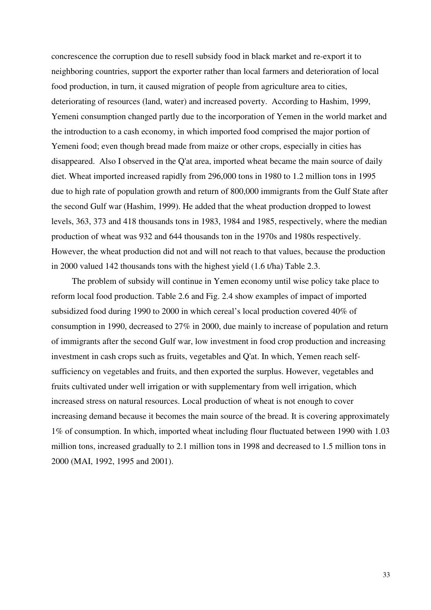concrescence the corruption due to resell subsidy food in black market and re-export it to neighboring countries, support the exporter rather than local farmers and deterioration of local food production, in turn, it caused migration of people from agriculture area to cities, deteriorating of resources (land, water) and increased poverty. According to Hashim, 1999, Yemeni consumption changed partly due to the incorporation of Yemen in the world market and the introduction to a cash economy, in which imported food comprised the major portion of Yemeni food; even though bread made from maize or other crops, especially in cities has disappeared. Also I observed in the Q'at area, imported wheat became the main source of daily diet. Wheat imported increased rapidly from 296,000 tons in 1980 to 1.2 million tons in 1995 due to high rate of population growth and return of 800,000 immigrants from the Gulf State after the second Gulf war (Hashim, 1999). He added that the wheat production dropped to lowest levels, 363, 373 and 418 thousands tons in 1983, 1984 and 1985, respectively, where the median production of wheat was 932 and 644 thousands ton in the 1970s and 1980s respectively. However, the wheat production did not and will not reach to that values, because the production in 2000 valued 142 thousands tons with the highest yield (1.6 t/ha) Table 2.3.

The problem of subsidy will continue in Yemen economy until wise policy take place to reform local food production. Table 2.6 and Fig. 2.4 show examples of impact of imported subsidized food during 1990 to 2000 in which cereal's local production covered 40% of consumption in 1990, decreased to 27% in 2000, due mainly to increase of population and return of immigrants after the second Gulf war, low investment in food crop production and increasing investment in cash crops such as fruits, vegetables and Q'at. In which, Yemen reach selfsufficiency on vegetables and fruits, and then exported the surplus. However, vegetables and fruits cultivated under well irrigation or with supplementary from well irrigation, which increased stress on natural resources. Local production of wheat is not enough to cover increasing demand because it becomes the main source of the bread. It is covering approximately 1% of consumption. In which, imported wheat including flour fluctuated between 1990 with 1.03 million tons, increased gradually to 2.1 million tons in 1998 and decreased to 1.5 million tons in 2000 (MAI, 1992, 1995 and 2001).